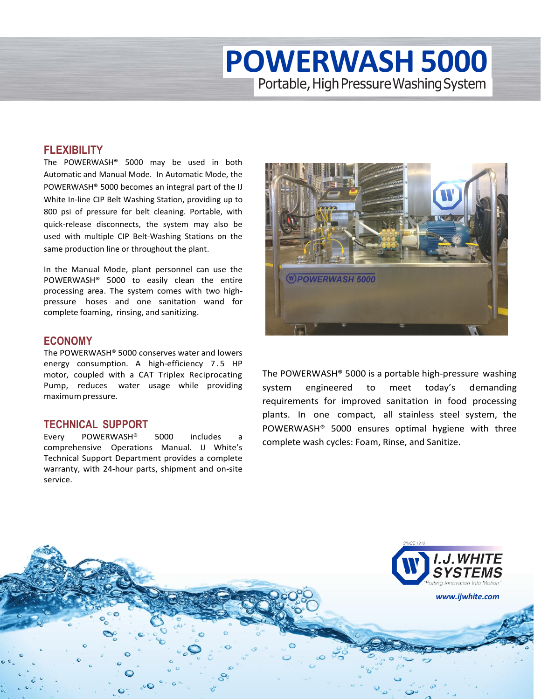# **POWERWASH5000** Portable, High Pressure Washing System

#### **FLEXIBILITY**

The POWERWASH® 5000 may be used in both Automatic and Manual Mode. In Automatic Mode, the POWERWASH® 5000 becomes an integral part of the IJ White In-line CIP Belt Washing Station, providing up to 800 psi of pressure for belt cleaning. Portable, with quick-release disconnects, the system may also be used with multiple CIP Belt-Washing Stations on the same production line or throughout the plant.

In the Manual Mode, plant personnel can use the POWERWASH® 5000 to easily clean the entire processing area. The system comes with two highpressure hoses and one sanitation wand for complete foaming, rinsing, and sanitizing.

#### **ECONOMY**

The POWERWASH® 5000 conserves water and lowers energy consumption. A high-efficiency 7.5 HP motor, coupled with a CAT Triplex Reciprocating Pump, reduces water usage while providing maximumpressure.

### **TECHNICAL SUPPORT**

Every POWERWASH<sup>®</sup> 5000 includes comprehensive Operations Manual. IJ White's Technical Support Department provides a complete warranty, with 24-hour parts, shipment and on-site service.



The POWERWASH® 5000 is a portable high-pressure washing system engineered to meet today's demanding requirements for improved sanitation in food processing plants. In one compact, all stainless steel system, the POWERWASH® 5000 ensures optimal hygiene with three complete wash cycles: Foam, Rinse, and Sanitize.